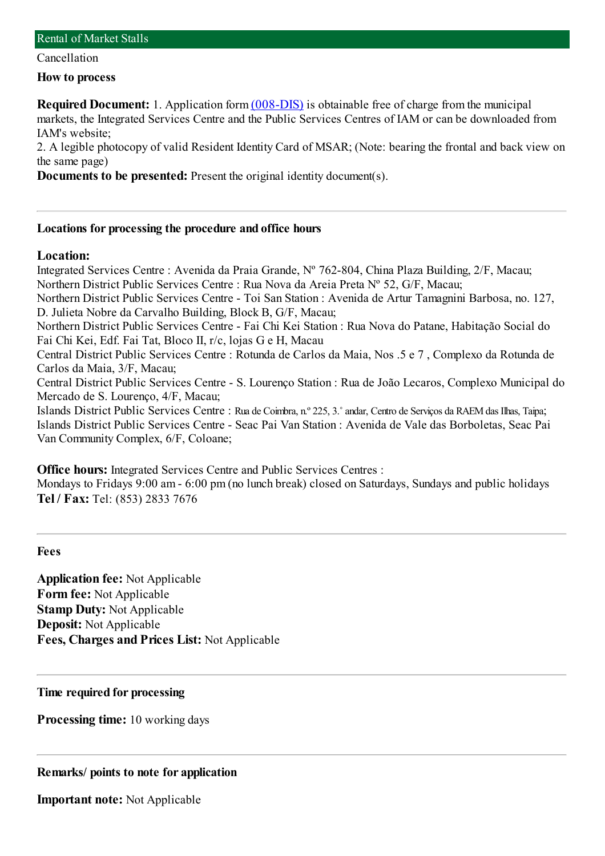Cancellation

**How to process**

**Required Document:** 1. Application form  $(008-DIS)$  is obtainable free of charge from the municipal markets, the Integrated Services Centre and the Public Services Centres of IAM or can be downloaded from IAM's website;

2. A legible photocopy of valid Resident Identity Card of MSAR; (Note: bearing the frontal and back view on the same page)

**Documents to be presented:** Present the original identity document(s).

#### **Locations for processing the procedure and office hours**

#### **Location:**

Integrated Services Centre : Avenida da Praia Grande, Nº 762-804, China Plaza Building, 2/F, Macau; Northern District Public Services Centre : Rua Nova da Areia Preta Nº 52, G/F, Macau; Northern District Public Services Centre - Toi San Station : Avenida de Artur Tamagnini Barbosa, no. 127, D. Julieta Nobre da Carvalho Building, Block B, G/F, Macau; Northern District Public Services Centre - Fai Chi Kei Station : Rua Nova do Patane, Habitação Social do Fai Chi Kei, Edf. Fai Tat, Bloco II, r/c, lojas G e H, Macau Central District Public Services Centre : Rotunda de Carlos da Maia, Nos .5 e 7 , Complexo da Rotunda de Carlos da Maia, 3/F, Macau; Central District Public Services Centre - S. Lourenço Station : Rua de João Lecaros, Complexo Municipal do Mercado de S. Lourenço, 4/F, Macau; Islands District Public Services Centre : Rua de Coimbra, n.º 225, 3.˚andar, Centro de Serviços da RAEMdas Ilhas, Taipa; Islands District Public Services Centre - Seac Pai Van Station : Avenida de Vale das Borboletas, Seac Pai Van Community Complex, 6/F, Coloane;

**Office hours:** Integrated Services Centre and Public Services Centres :

Mondays to Fridays 9:00 am- 6:00 pm(no lunch break) closed on Saturdays, Sundays and public holidays **Tel / Fax:** Tel: (853) 2833 7676

**Fees**

**Application fee:** Not Applicable **Form fee:** Not Applicable **Stamp Duty:** Not Applicable **Deposit:** Not Applicable **Fees, Charges and Prices List:** Not Applicable

**Time required for processing**

**Processing time:** 10 working days

### **Remarks/ points to note for application**

**Important note:** Not Applicable